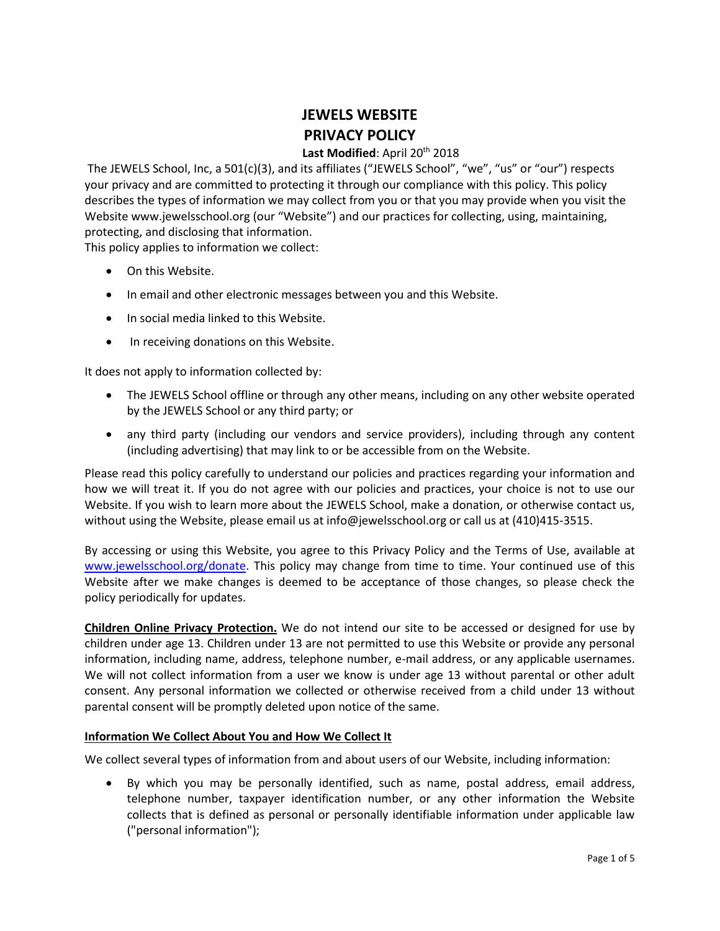# **JEWELS WEBSITE PRIVACY POLICY**

# Last Modified: April 20<sup>th</sup> 2018

The JEWELS School, Inc, a 501(c)(3), and its affiliates ("JEWELS School", "we", "us" or "our") respects your privacy and are committed to protecting it through our compliance with this policy. This policy describes the types of information we may collect from you or that you may provide when you visit the Website www.jewelsschool.org (our "Website") and our practices for collecting, using, maintaining, protecting, and disclosing that information.

This policy applies to information we collect:

- On this Website.
- In email and other electronic messages between you and this Website.
- In social media linked to this Website.
- In receiving donations on this Website.

It does not apply to information collected by:

- The JEWELS School offline or through any other means, including on any other website operated by the JEWELS School or any third party; or
- any third party (including our vendors and service providers), including through any content (including advertising) that may link to or be accessible from on the Website.

Please read this policy carefully to understand our policies and practices regarding your information and how we will treat it. If you do not agree with our policies and practices, your choice is not to use our Website. If you wish to learn more about the JEWELS School, make a donation, or otherwise contact us, without using the Website, please email us at info@jewelsschool.org or call us at (410)415-3515.

By accessing or using this Website, you agree to this Privacy Policy and the Terms of Use, available at [www.jewelsschool.org/donate.](http://www.jewelsschool.org/donate) This policy may change from time to time. Your continued use of this Website after we make changes is deemed to be acceptance of those changes, so please check the policy periodically for updates.

**Children Online Privacy Protection.** We do not intend our site to be accessed or designed for use by children under age 13. Children under 13 are not permitted to use this Website or provide any personal information, including name, address, telephone number, e-mail address, or any applicable usernames. We will not collect information from a user we know is under age 13 without parental or other adult consent. Any personal information we collected or otherwise received from a child under 13 without parental consent will be promptly deleted upon notice of the same.

# **Information We Collect About You and How We Collect It**

We collect several types of information from and about users of our Website, including information:

• By which you may be personally identified, such as name, postal address, email address, telephone number, taxpayer identification number, or any other information the Website collects that is defined as personal or personally identifiable information under applicable law ("personal information");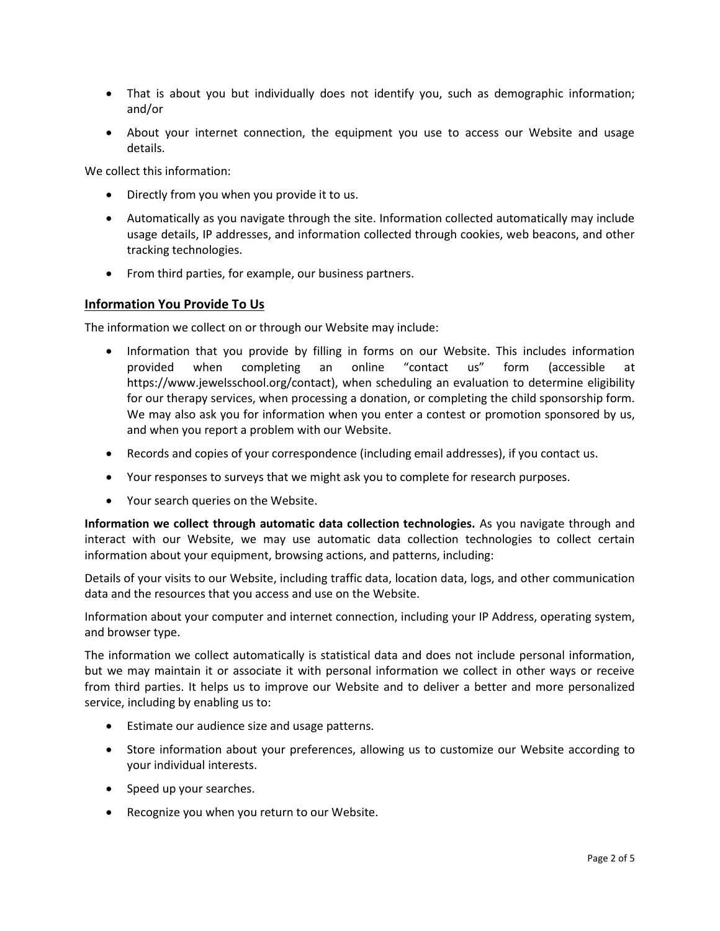- That is about you but individually does not identify you, such as demographic information; and/or
- About your internet connection, the equipment you use to access our Website and usage details.

We collect this information:

- Directly from you when you provide it to us.
- Automatically as you navigate through the site. Information collected automatically may include usage details, IP addresses, and information collected through cookies, web beacons, and other tracking technologies.
- From third parties, for example, our business partners.

### **Information You Provide To Us**

The information we collect on or through our Website may include:

- Information that you provide by filling in forms on our Website. This includes information provided when completing an online "contact us" form (accessible at https://www.jewelsschool.org/contact), when scheduling an evaluation to determine eligibility for our therapy services, when processing a donation, or completing the child sponsorship form. We may also ask you for information when you enter a contest or promotion sponsored by us, and when you report a problem with our Website.
- Records and copies of your correspondence (including email addresses), if you contact us.
- Your responses to surveys that we might ask you to complete for research purposes.
- Your search queries on the Website.

**Information we collect through automatic data collection technologies.** As you navigate through and interact with our Website, we may use automatic data collection technologies to collect certain information about your equipment, browsing actions, and patterns, including:

Details of your visits to our Website, including traffic data, location data, logs, and other communication data and the resources that you access and use on the Website.

Information about your computer and internet connection, including your IP Address, operating system, and browser type.

The information we collect automatically is statistical data and does not include personal information, but we may maintain it or associate it with personal information we collect in other ways or receive from third parties. It helps us to improve our Website and to deliver a better and more personalized service, including by enabling us to:

- Estimate our audience size and usage patterns.
- Store information about your preferences, allowing us to customize our Website according to your individual interests.
- Speed up your searches.
- Recognize you when you return to our Website.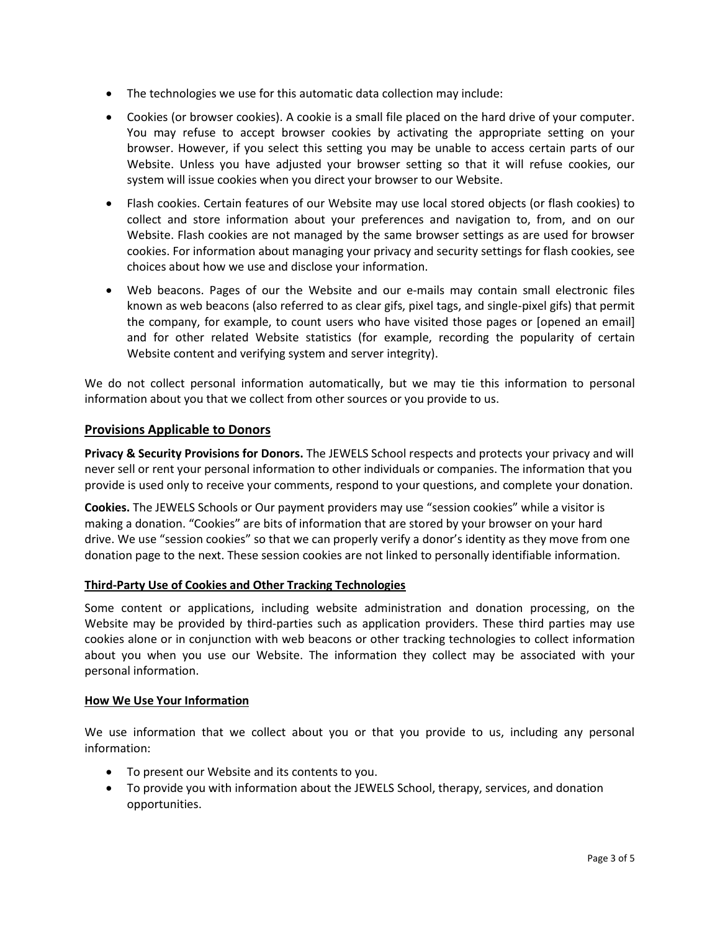- The technologies we use for this automatic data collection may include:
- Cookies (or browser cookies). A cookie is a small file placed on the hard drive of your computer. You may refuse to accept browser cookies by activating the appropriate setting on your browser. However, if you select this setting you may be unable to access certain parts of our Website. Unless you have adjusted your browser setting so that it will refuse cookies, our system will issue cookies when you direct your browser to our Website.
- Flash cookies. Certain features of our Website may use local stored objects (or flash cookies) to collect and store information about your preferences and navigation to, from, and on our Website. Flash cookies are not managed by the same browser settings as are used for browser cookies. For information about managing your privacy and security settings for flash cookies, see choices about how we use and disclose your information.
- Web beacons. Pages of our the Website and our e-mails may contain small electronic files known as web beacons (also referred to as clear gifs, pixel tags, and single-pixel gifs) that permit the company, for example, to count users who have visited those pages or [opened an email] and for other related Website statistics (for example, recording the popularity of certain Website content and verifying system and server integrity).

We do not collect personal information automatically, but we may tie this information to personal information about you that we collect from other sources or you provide to us.

# **Provisions Applicable to Donors**

**Privacy & Security Provisions for Donors.** The JEWELS School respects and protects your privacy and will never sell or rent your personal information to other individuals or companies. The information that you provide is used only to receive your comments, respond to your questions, and complete your donation.

**Cookies.** The JEWELS Schools or Our payment providers may use "session cookies" while a visitor is making a donation. "Cookies" are bits of information that are stored by your browser on your hard drive. We use "session cookies" so that we can properly verify a donor's identity as they move from one donation page to the next. These session cookies are not linked to personally identifiable information.

# **Third-Party Use of Cookies and Other Tracking Technologies**

Some content or applications, including website administration and donation processing, on the Website may be provided by third-parties such as application providers. These third parties may use cookies alone or in conjunction with web beacons or other tracking technologies to collect information about you when you use our Website. The information they collect may be associated with your personal information.

# **How We Use Your Information**

We use information that we collect about you or that you provide to us, including any personal information:

- To present our Website and its contents to you.
- To provide you with information about the JEWELS School, therapy, services, and donation opportunities.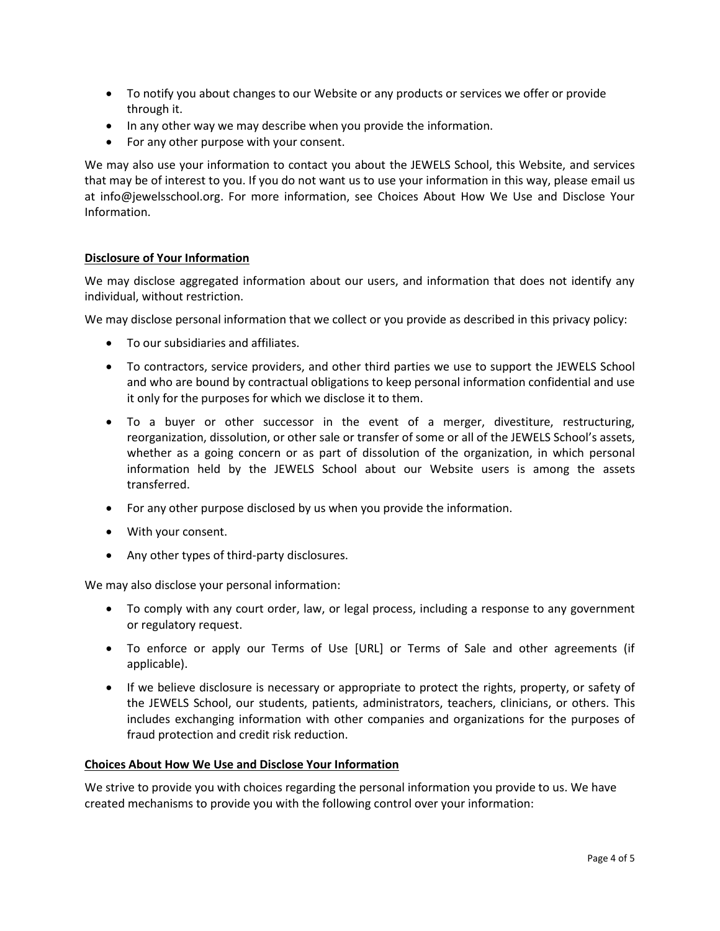- To notify you about changes to our Website or any products or services we offer or provide through it.
- In any other way we may describe when you provide the information.
- For any other purpose with your consent.

We may also use your information to contact you about the JEWELS School, this Website, and services that may be of interest to you. If you do not want us to use your information in this way, please email us at info@jewelsschool.org. For more information, see Choices About How We Use and Disclose Your Information.

### **Disclosure of Your Information**

We may disclose aggregated information about our users, and information that does not identify any individual, without restriction.

We may disclose personal information that we collect or you provide as described in this privacy policy:

- To our subsidiaries and affiliates.
- To contractors, service providers, and other third parties we use to support the JEWELS School and who are bound by contractual obligations to keep personal information confidential and use it only for the purposes for which we disclose it to them.
- To a buyer or other successor in the event of a merger, divestiture, restructuring, reorganization, dissolution, or other sale or transfer of some or all of the JEWELS School's assets, whether as a going concern or as part of dissolution of the organization, in which personal information held by the JEWELS School about our Website users is among the assets transferred.
- For any other purpose disclosed by us when you provide the information.
- With your consent.
- Any other types of third-party disclosures.

We may also disclose your personal information:

- To comply with any court order, law, or legal process, including a response to any government or regulatory request.
- To enforce or apply our Terms of Use [URL] or Terms of Sale and other agreements (if applicable).
- If we believe disclosure is necessary or appropriate to protect the rights, property, or safety of the JEWELS School, our students, patients, administrators, teachers, clinicians, or others. This includes exchanging information with other companies and organizations for the purposes of fraud protection and credit risk reduction.

#### **Choices About How We Use and Disclose Your Information**

We strive to provide you with choices regarding the personal information you provide to us. We have created mechanisms to provide you with the following control over your information: